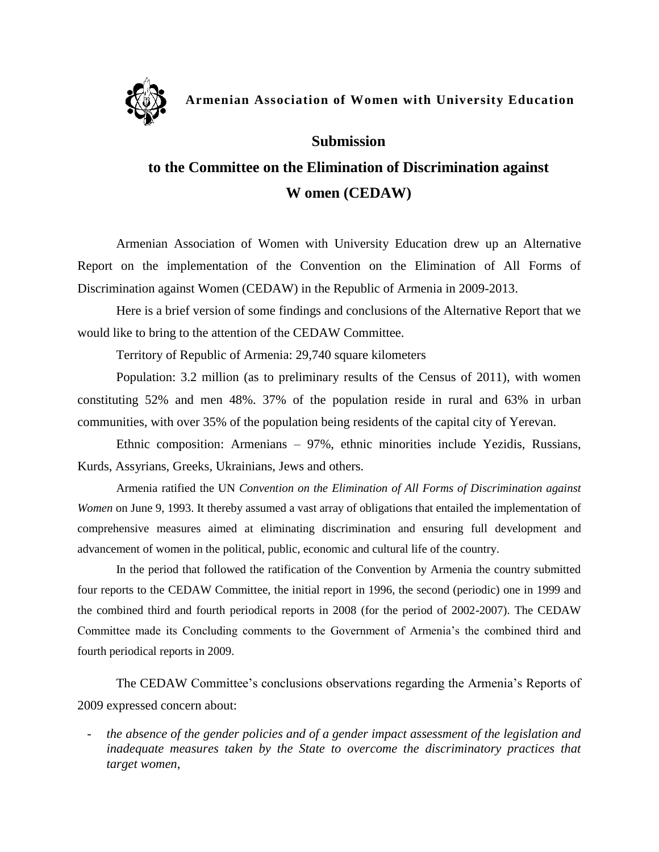

## **Armenian Association of Women with University Education**

## **Submission**

## **to the Committee on the Elimination of Discrimination against W omen (CEDAW)**

Armenian Association of Women with University Education drew up an Alternative Report on the implementation of the Convention on the Elimination of All Forms of Discrimination against Women (CEDAW) in the Republic of Armenia in 2009-2013.

Here is a brief version of some findings and conclusions of the Alternative Report that we would like to bring to the attention of the CEDAW Committee.

Territory of Republic of Armenia: 29,740 square kilometers

Population: 3.2 million (as to preliminary results of the Census of 2011), with women constituting 52% and men 48%. 37% of the population reside in rural and 63% in urban communities, with over 35% of the population being residents of the capital city of Yerevan.

Ethnic composition: Armenians – 97%, ethnic minorities include Yezidis, Russians, Kurds, Assyrians, Greeks, Ukrainians, Jews and others.

Armenia ratified the UN *Convention on the Elimination of All Forms of Discrimination against Women* on June 9, 1993. It thereby assumed a vast array of obligations that entailed the implementation of comprehensive measures aimed at eliminating discrimination and ensuring full development and advancement of women in the political, public, economic and cultural life of the country.

In the period that followed the ratification of the Convention by Armenia the country submitted four reports to the CEDAW Committee, the initial report in 1996, the second (periodic) one in 1999 and the combined third and fourth periodical reports in 2008 (for the period of 2002-2007). The CEDAW Committee made its Concluding comments to the Government of Armenia's the combined third and fourth periodical reports in 2009.

The CEDAW Committee's conclusions observations regarding the Armenia's Reports of 2009 expressed concern about:

- *the absence of the gender policies and of a gender impact assessment of the legislation and inadequate measures taken by the State to overcome the discriminatory practices that target women,*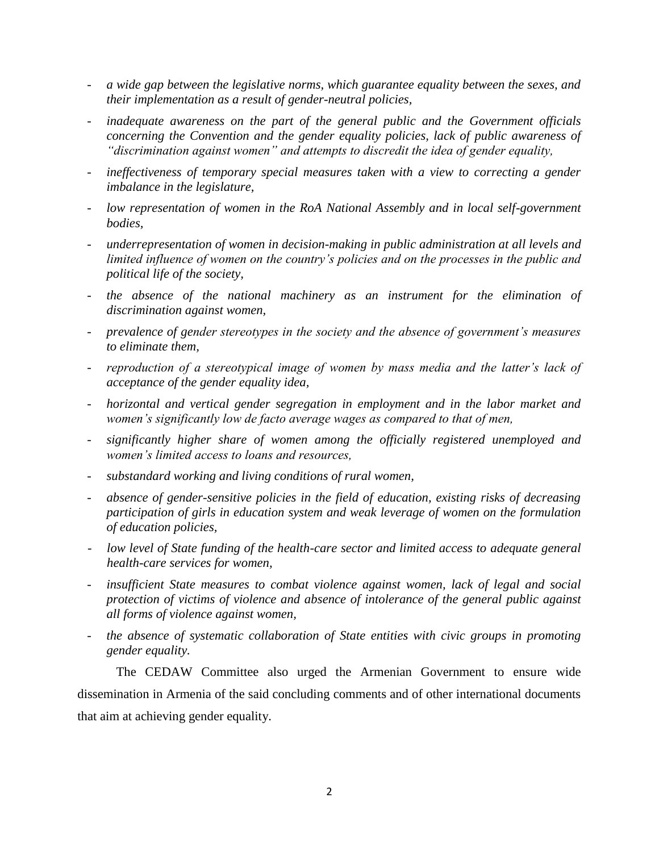- *a wide gap between the legislative norms, which guarantee equality between the sexes, and their implementation as a result of gender-neutral policies,*
- *inadequate awareness on the part of the general public and the Government officials concerning the Convention and the gender equality policies, lack of public awareness of "discrimination against women" and attempts to discredit the idea of gender equality,*
- ineffectiveness of temporary special measures taken with a view to correcting a gender *imbalance in the legislature,*
- *low representation of women in the RoA National Assembly and in local self-government bodies,*
- *underrepresentation of women in decision-making in public administration at all levels and limited influence of women on the country's policies and on the processes in the public and political life of the society,*
- the absence of the national machinery as an instrument for the elimination of *discrimination against women,*
- *prevalence of gender stereotypes in the society and the absence of government's measures to eliminate them,*
- *reproduction of a stereotypical image of women by mass media and the latter's lack of acceptance of the gender equality idea,*
- *horizontal and vertical gender segregation in employment and in the labor market and women's significantly low de facto average wages as compared to that of men,*
- *significantly higher share of women among the officially registered unemployed and women's limited access to loans and resources,*
- *substandard working and living conditions of rural women,*
- *absence of gender-sensitive policies in the field of education, existing risks of decreasing participation of girls in education system and weak leverage of women on the formulation of education policies,*
- *low level of State funding of the health-care sector and limited access to adequate general health-care services for women,*
- *insufficient State measures to combat violence against women, lack of legal and social protection of victims of violence and absence of intolerance of the general public against all forms of violence against women,*
- *the absence of systematic collaboration of State entities with civic groups in promoting gender equality.*

The CEDAW Committee also urged the Armenian Government to ensure wide dissemination in Armenia of the said concluding comments and of other international documents that aim at achieving gender equality.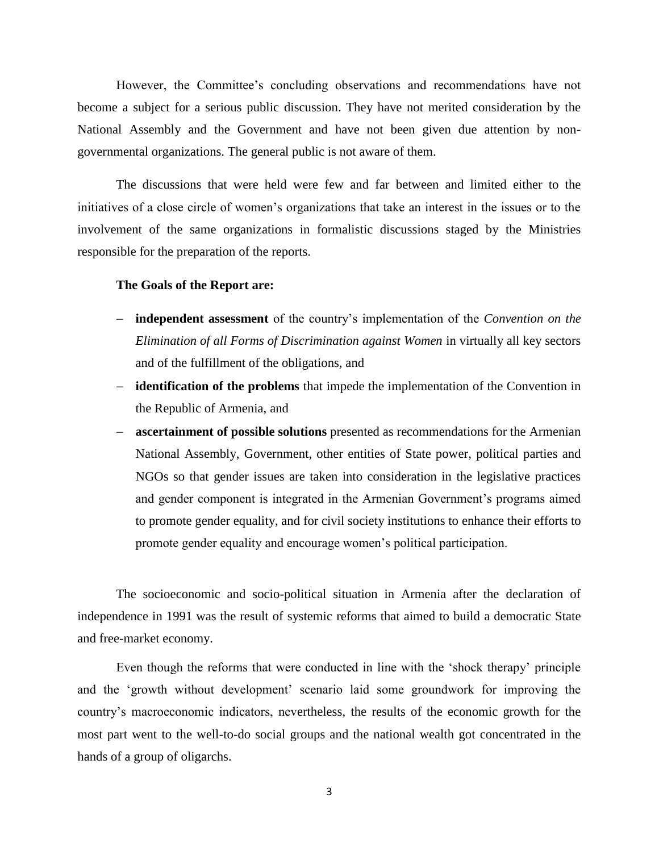However, the Committee's concluding observations and recommendations have not become a subject for a serious public discussion. They have not merited consideration by the National Assembly and the Government and have not been given due attention by nongovernmental organizations. The general public is not aware of them.

The discussions that were held were few and far between and limited either to the initiatives of a close circle of women's organizations that take an interest in the issues or to the involvement of the same organizations in formalistic discussions staged by the Ministries responsible for the preparation of the reports.

## **The Goals of the Report are:**

- **independent assessment** of the country's implementation of the *Convention on the Elimination of all Forms of Discrimination against Women* in virtually all key sectors and of the fulfillment of the obligations, and
- **identification of the problems** that impede the implementation of the Convention in the Republic of Armenia, and
- **ascertainment of possible solutions** presented as recommendations for the Armenian National Assembly, Government, other entities of State power, political parties and NGOs so that gender issues are taken into consideration in the legislative practices and gender component is integrated in the Armenian Government's programs aimed to promote gender equality, and for civil society institutions to enhance their efforts to promote gender equality and encourage women's political participation.

The socioeconomic and socio-political situation in Armenia after the declaration of independence in 1991 was the result of systemic reforms that aimed to build a democratic State and free-market economy.

Even though the reforms that were conducted in line with the 'shock therapy' principle and the 'growth without development' scenario laid some groundwork for improving the country's macroeconomic indicators, nevertheless, the results of the economic growth for the most part went to the well-to-do social groups and the national wealth got concentrated in the hands of a group of oligarchs.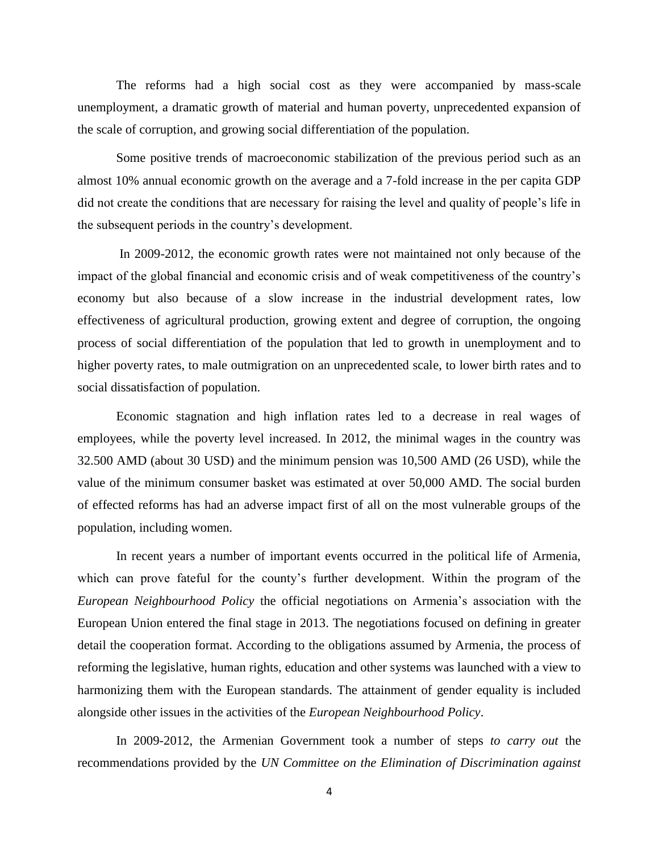The reforms had a high social cost as they were accompanied by mass-scale unemployment, a dramatic growth of material and human poverty, unprecedented expansion of the scale of corruption, and growing social differentiation of the population.

Some positive trends of macroeconomic stabilization of the previous period such as an almost 10% annual economic growth on the average and a 7-fold increase in the per capita GDP did not create the conditions that are necessary for raising the level and quality of people's life in the subsequent periods in the country's development.

In 2009-2012, the economic growth rates were not maintained not only because of the impact of the global financial and economic crisis and of weak competitiveness of the country's economy but also because of a slow increase in the industrial development rates, low effectiveness of agricultural production, growing extent and degree of corruption, the ongoing process of social differentiation of the population that led to growth in unemployment and to higher poverty rates, to male outmigration on an unprecedented scale, to lower birth rates and to social dissatisfaction of population.

Economic stagnation and high inflation rates led to a decrease in real wages of employees, while the poverty level increased. In 2012, the minimal wages in the country was 32.500 AMD (about 30 USD) and the minimum pension was 10,500 AMD (26 USD), while the value of the minimum consumer basket was estimated at over 50,000 AMD. The social burden of effected reforms has had an adverse impact first of all on the most vulnerable groups of the population, including women.

In recent years a number of important events occurred in the political life of Armenia, which can prove fateful for the county's further development. Within the program of the *European Neighbourhood Policy* the official negotiations on Armenia's association with the European Union entered the final stage in 2013. The negotiations focused on defining in greater detail the cooperation format. According to the obligations assumed by Armenia, the process of reforming the legislative, human rights, education and other systems was launched with a view to harmonizing them with the European standards. The attainment of gender equality is included alongside other issues in the activities of the *European Neighbourhood Policy*.

In 2009-2012, the Armenian Government took a number of steps *to carry out* the recommendations provided by the *UN Committee on the Elimination of Discrimination against*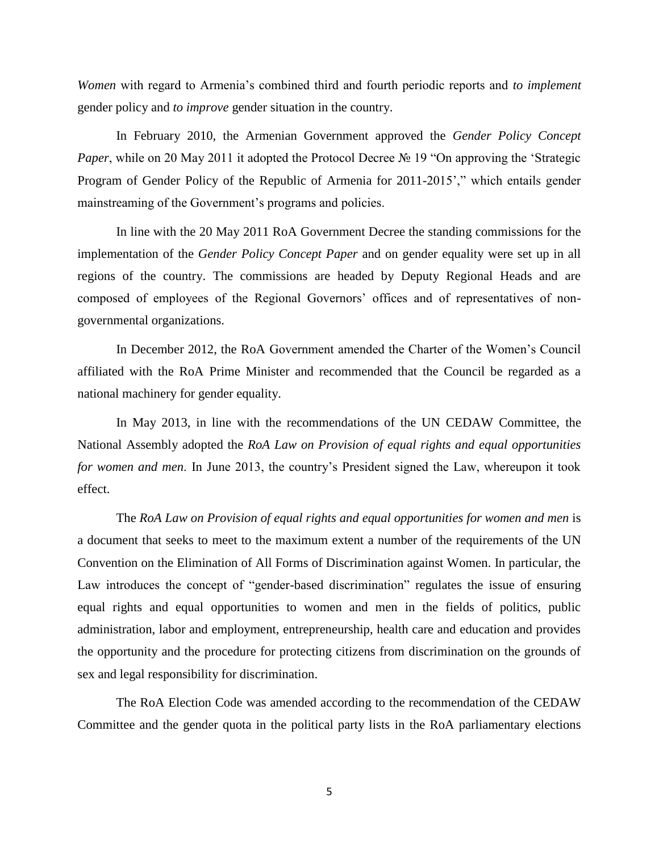*Women* with regard to Armenia's combined third and fourth periodic reports and *to implement* gender policy and *to improve* gender situation in the country.

In February 2010, the Armenian Government approved the *Gender Policy Concept Paper*, while on 20 May 2011 it adopted the Protocol Decree № 19 "On approving the 'Strategic Program of Gender Policy of the Republic of Armenia for 2011-2015'," which entails gender mainstreaming of the Government's programs and policies.

In line with the 20 May 2011 RoA Government Decree the standing commissions for the implementation of the *Gender Policy Concept Paper* and on gender equality were set up in all regions of the country. The commissions are headed by Deputy Regional Heads and are composed of employees of the Regional Governors' offices and of representatives of nongovernmental organizations.

In December 2012, the RoA Government amended the Charter of the Women's Council affiliated with the RoA Prime Minister and recommended that the Council be regarded as a national machinery for gender equality.

In May 2013, in line with the recommendations of the UN CEDAW Committee, the National Assembly adopted the *RoA Law on Provision of equal rights and equal opportunities for women and men*. In June 2013, the country's President signed the Law, whereupon it took effect.

The *RoA Law on Provision of equal rights and equal opportunities for women and men* is a document that seeks to meet to the maximum extent a number of the requirements of the UN Convention on the Elimination of All Forms of Discrimination against Women. In particular, the Law introduces the concept of "gender-based discrimination" regulates the issue of ensuring equal rights and equal opportunities to women and men in the fields of politics, public administration, labor and employment, entrepreneurship, health care and education and provides the opportunity and the procedure for protecting citizens from discrimination on the grounds of sex and legal responsibility for discrimination.

The RoA Election Code was amended according to the recommendation of the CEDAW Committee and the gender quota in the political party lists in the RoA parliamentary elections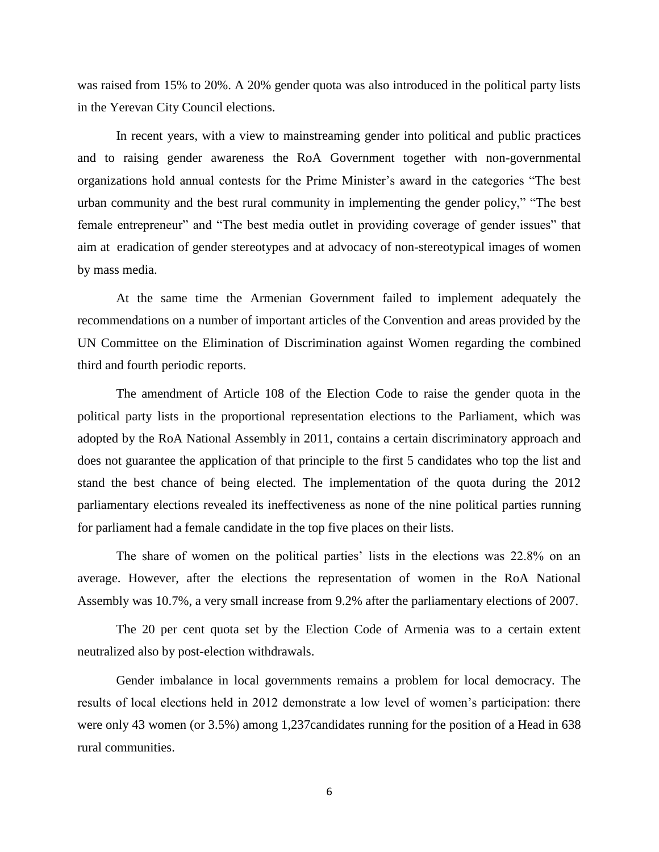was raised from 15% to 20%. A 20% gender quota was also introduced in the political party lists in the Yerevan City Council elections.

In recent years, with a view to mainstreaming gender into political and public practices and to raising gender awareness the RoA Government together with non-governmental organizations hold annual contests for the Prime Minister's award in the categories "The best urban community and the best rural community in implementing the gender policy," "The best female entrepreneur" and "The best media outlet in providing coverage of gender issues" that aim at eradication of gender stereotypes and at advocacy of non-stereotypical images of women by mass media.

At the same time the Armenian Government failed to implement adequately the recommendations on a number of important articles of the Convention and areas provided by the UN Committee on the Elimination of Discrimination against Women regarding the combined third and fourth periodic reports.

The amendment of Article 108 of the Election Code to raise the gender quota in the political party lists in the proportional representation elections to the Parliament, which was adopted by the RoA National Assembly in 2011, contains a certain discriminatory approach and does not guarantee the application of that principle to the first 5 candidates who top the list and stand the best chance of being elected. The implementation of the quota during the 2012 parliamentary elections revealed its ineffectiveness as none of the nine political parties running for parliament had a female candidate in the top five places on their lists.

The share of women on the political parties' lists in the elections was 22.8% on an average. However, after the elections the representation of women in the RoA National Assembly was 10.7%, a very small increase from 9.2% after the parliamentary elections of 2007.

The 20 per cent quota set by the Election Code of Armenia was to a certain extent neutralized also by post-election withdrawals.

Gender imbalance in local governments remains a problem for local democracy. The results of local elections held in 2012 demonstrate a low level of women's participation: there were only 43 women (or 3.5%) among 1,237candidates running for the position of a Head in 638 rural communities.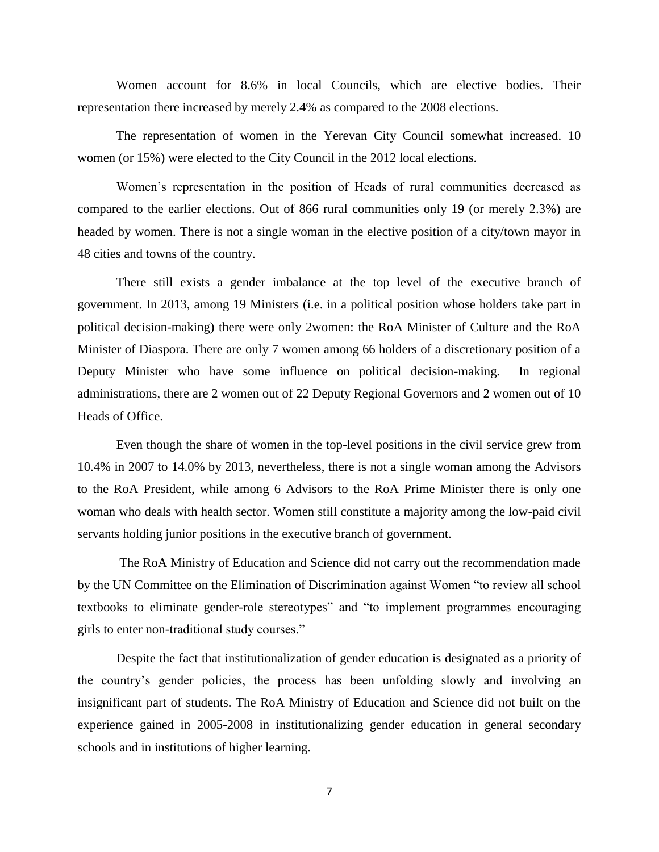Women account for 8.6% in local Councils, which are elective bodies. Their representation there increased by merely 2.4% as compared to the 2008 elections.

The representation of women in the Yerevan City Council somewhat increased. 10 women (or 15%) were elected to the City Council in the 2012 local elections.

Women's representation in the position of Heads of rural communities decreased as compared to the earlier elections. Out of 866 rural communities only 19 (or merely 2.3%) are headed by women. There is not a single woman in the elective position of a city/town mayor in 48 cities and towns of the country.

There still exists a gender imbalance at the top level of the executive branch of government. In 2013, among 19 Ministers (i.e. in a political position whose holders take part in political decision-making) there were only 2women: the RoA Minister of Culture and the RoA Minister of Diaspora. There are only 7 women among 66 holders of a discretionary position of a Deputy Minister who have some influence on political decision-making. In regional administrations, there are 2 women out of 22 Deputy Regional Governors and 2 women out of 10 Heads of Office.

Even though the share of women in the top-level positions in the civil service grew from 10.4% in 2007 to 14.0% by 2013, nevertheless, there is not a single woman among the Advisors to the RoA President, while among 6 Advisors to the RoA Prime Minister there is only one woman who deals with health sector. Women still constitute a majority among the low-paid civil servants holding junior positions in the executive branch of government.

The RoA Ministry of Education and Science did not carry out the recommendation made by the UN Committee on the Elimination of Discrimination against Women "to review all school textbooks to eliminate gender-role stereotypes" and "to implement programmes encouraging girls to enter non-traditional study courses."

Despite the fact that institutionalization of gender education is designated as a priority of the country's gender policies, the process has been unfolding slowly and involving an insignificant part of students. The RoA Ministry of Education and Science did not built on the experience gained in 2005-2008 in institutionalizing gender education in general secondary schools and in institutions of higher learning.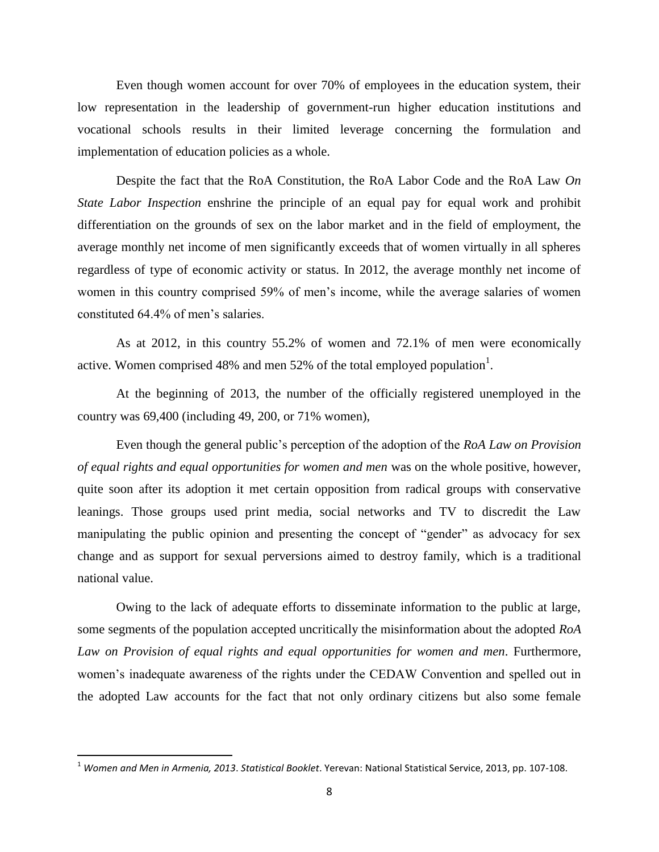Even though women account for over 70% of employees in the education system, their low representation in the leadership of government-run higher education institutions and vocational schools results in their limited leverage concerning the formulation and implementation of education policies as a whole.

Despite the fact that the RoA Constitution, the RoA Labor Code and the RoA Law *On State Labor Inspection* enshrine the principle of an equal pay for equal work and prohibit differentiation on the grounds of sex on the labor market and in the field of employment, the average monthly net income of men significantly exceeds that of women virtually in all spheres regardless of type of economic activity or status. In 2012, the average monthly net income of women in this country comprised 59% of men's income, while the average salaries of women constituted 64.4% of men's salaries.

As at 2012, in this country 55.2% of women and 72.1% of men were economically active. Women comprised 48% and men 52% of the total employed population<sup>1</sup>.

At the beginning of 2013, the number of the officially registered unemployed in the country was 69,400 (including 49, 200, or 71% women),

Even though the general public's perception of the adoption of the *RoA Law on Provision of equal rights and equal opportunities for women and men* was on the whole positive, however, quite soon after its adoption it met certain opposition from radical groups with conservative leanings. Those groups used print media, social networks and TV to discredit the Law manipulating the public opinion and presenting the concept of "gender" as advocacy for sex change and as support for sexual perversions aimed to destroy family, which is a traditional national value.

Owing to the lack of adequate efforts to disseminate information to the public at large, some segments of the population accepted uncritically the misinformation about the adopted *RoA Law on Provision of equal rights and equal opportunities for women and men*. Furthermore, women's inadequate awareness of the rights under the CEDAW Convention and spelled out in the adopted Law accounts for the fact that not only ordinary citizens but also some female

 $\overline{\phantom{a}}$ 

<sup>1</sup> *Women and Men in Armenia, 2013*. *Statistical Booklet*. Yerevan: National Statistical Service, 2013, pp. 107-108.